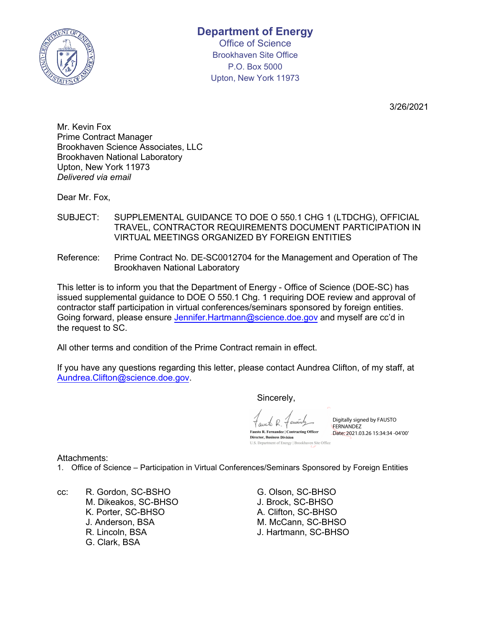

Office of Science Brookhaven Site Office P.O. Box 5000 Upton, New York 11973

3/26/2021

Mr. Kevin Fox Prime Contract Manager Brookhaven Science Associates, LLC Brookhaven National Laboratory Upton, New York 11973 *Delivered via email*

Dear Mr. Fox,

- SUBJECT: SUPPLEMENTAL GUIDANCE TO DOE O 550.1 CHG 1 (LTDCHG), OFFICIAL TRAVEL, CONTRACTOR REQUIREMENTS DOCUMENT PARTICIPATION IN VIRTUAL MEETINGS ORGANIZED BY FOREIGN ENTITIES
- Reference: Prime Contract No. DE-SC0012704 for the Management and Operation of The Brookhaven National Laboratory

This letter is to inform you that the Department of Energy - Office of Science (DOE-SC) has issued supplemental guidance to DOE O 550.1 Chg. 1 requiring DOE review and approval of contractor staff participation in virtual conferences/seminars sponsored by foreign entities. Going forward, please ensure Jennifer.H[artmann@science.doe.gov](mailto:Jennifer.hartmann@science.doe.gov) and myself are cc'd in the request to SC.

All other terms and condition of the Prime Contract remain in effect.

If you have any questions regarding this letter, please contact Aundrea Clifton, of my staff, at [Aundrea.Clifton@science.doe.gov.](mailto:Aundrea.Clifton@science.doe.gov)

Sincerely,

amto R Fausto R. Fernandez | Contracting Officer **Director, Business Division** 

U.S. Department of Energy | Brookhaven Site Office

Digitally signed by FAUSTO **FERNANDEZ** Date: 2021.03.26 15:34:34 -04'00'

Attachments:

1. Office of Science – Participation in Virtual Conferences/Seminars Sponsored by Foreign Entities

cc: R. Gordon, SC-BSHO G. Olson, SC-BHSO M. Dikeakos, SC-BHSO<br>K. Porter, SC-BHSO J. Anderson, BSA M. McCann, SC-BHSO R. Lincoln, BSA J. Hartmann, SC-BHSO G. Clark, BSA

A. Clifton, SC-BHSO